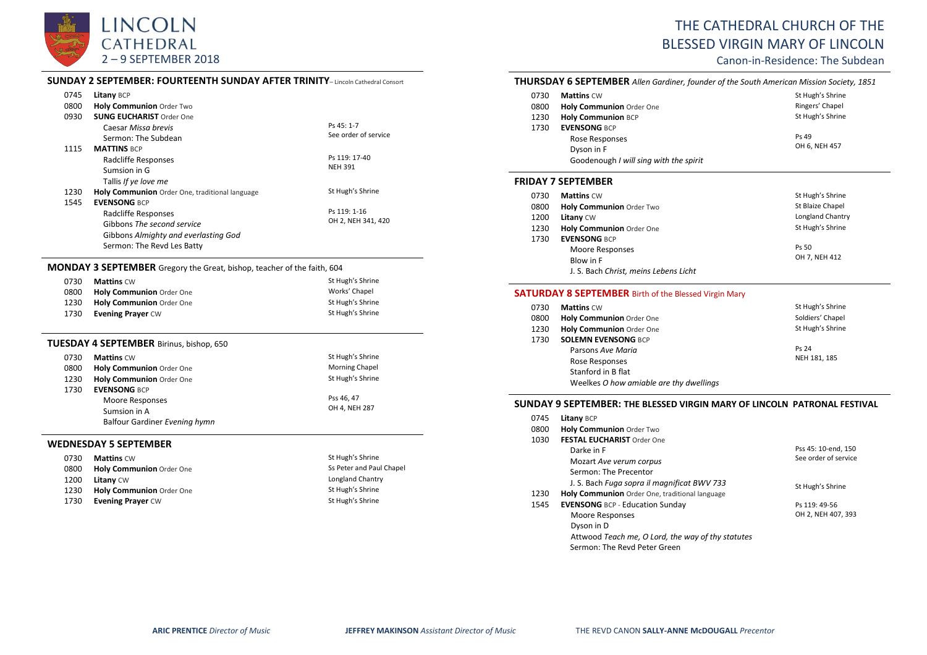

# THE CATHEDRAL CHURCH OF THE BLESSED VIRGIN MARY OF LINCOLN

Canon-in-Residence: The Subdean

| 0745 | Litany BCP                                     |                      |
|------|------------------------------------------------|----------------------|
| 0800 | <b>Holy Communion Order Two</b>                |                      |
| 0930 | <b>SUNG EUCHARIST Order One</b>                |                      |
|      | Caesar Missa brevis                            | Ps 45: 1-7           |
|      | Sermon: The Subdean                            | See order of service |
| 1115 | <b>MATTINS BCP</b>                             |                      |
|      | Radcliffe Responses                            | Ps 119: 17-40        |
|      | Sumsion in G                                   | <b>NEH 391</b>       |
|      | Tallis If ye love me                           |                      |
| 1230 | Holy Communion Order One, traditional language | St Hugh's Shrine     |
| 1545 | <b>EVENSONG BCP</b>                            |                      |
|      | Radcliffe Responses                            | Ps 119: 1-16         |
|      | Gibbons The second service                     | OH 2, NEH 341, 420   |
|      | Gibbons Almighty and everlasting God           |                      |
|      | Sermon: The Revd Les Batty                     |                      |

## **MONDAY 3 SEPTEMBER** Gregory the Great, bishop, teacher of the faith, 604

| 0730 | <b>Mattins CW</b>        | St Hugh's Shrine |
|------|--------------------------|------------------|
| 0800 | Holy Communion Order One | Works' Chapel    |
| 1230 | Holy Communion Order One | St Hugh's Shrine |
| 1730 | <b>Evening Prayer CW</b> | St Hugh's Shrine |

## **TUESDAY 4 SEPTEMBER** Birinus, bishop, 650

| 0730 | <b>Mattins CW</b>               | St Hugh's Shrine      |
|------|---------------------------------|-----------------------|
| 0800 | Holy Communion Order One        | <b>Morning Chapel</b> |
| 1230 | <b>Holy Communion Order One</b> | St Hugh's Shrine      |
| 1730 | <b>EVENSONG BCP</b>             |                       |
|      | Moore Responses                 | Pss 46, 47            |
|      | Sumsion in A                    | OH 4, NEH 287         |
|      | Balfour Gardiner Evening hymn   |                       |

### **WEDNESDAY 5 SEPTEMBER**

| 0730 | <b>Mattins CW</b>               | St Hugh's Shrine         |
|------|---------------------------------|--------------------------|
| 0800 | <b>Holy Communion Order One</b> | Ss Peter and Paul Chapel |
| 1200 | <b>Litany CW</b>                | Longland Chantry         |
| 1230 | Holy Communion Order One        | St Hugh's Shrine         |
| 1730 | <b>Evening Prayer CW</b>        | St Hugh's Shrine         |

## **THURSDAY 6 SEPTEMBER** *Allen Gardiner, founder of the South American Mission Society, 1851*

| 0730 | <b>Mattins CW</b>                      | St Hugh's Shrine |
|------|----------------------------------------|------------------|
| 0800 | Holy Communion Order One               | Ringers' Chapel  |
| 1230 | <b>Holy Communion BCP</b>              | St Hugh's Shrine |
| 1730 | <b>EVENSONG BCP</b>                    |                  |
|      | Rose Responses                         | Ps 49            |
|      | Dyson in F                             | OH 6, NEH 457    |
|      | Goodenough I will sing with the spirit |                  |

### **FRIDAY 7 SEPTEMBER**

| 0730 | <b>Mattins CW</b>                     | St Hugh's Shrine |
|------|---------------------------------------|------------------|
| 0800 | Holy Communion Order Two              | St Blaize Chapel |
| 1200 | Litany CW                             | Longland Chantry |
| 1230 | Holy Communion Order One              | St Hugh's Shrine |
| 1730 | <b>EVENSONG BCP</b>                   |                  |
|      | Moore Responses                       | Ps 50            |
|      | Blow in F                             | OH 7, NEH 412    |
|      | J. S. Bach Christ, meins Lebens Licht |                  |

## **SATURDAY 8 SEPTEMBER** Birth of the Blessed Virgin Mary

| 0730 | <b>Mattins CW</b>                       | St Hugh's Shrine |
|------|-----------------------------------------|------------------|
| 0800 | <b>Holy Communion Order One</b>         | Soldiers' Chapel |
| 1230 | Holy Communion Order One                | St Hugh's Shrine |
| 1730 | <b>SOLEMN EVENSONG BCP</b>              |                  |
|      | Parsons Ave Maria                       | Ps 24            |
|      | Rose Responses                          | NEH 181, 185     |
|      | Stanford in B flat                      |                  |
|      | Weelkes O how amiable are thy dwellings |                  |

#### **SUNDAY 9 SEPTEMBER: THE BLESSED VIRGIN MARY OF LINCOLN PATRONAL FESTIVAL**

| 0745 | Litany BCP                                        |                      |
|------|---------------------------------------------------|----------------------|
| 0800 | Holy Communion Order Two                          |                      |
| 1030 | <b>FESTAL EUCHARIST Order One</b>                 |                      |
|      | Darke in F                                        | Pss 45: 10-end, 150  |
|      | Mozart Ave verum corpus                           | See order of service |
|      | Sermon: The Precentor                             |                      |
|      | J. S. Bach Fuga sopra il magnificat BWV 733       | St Hugh's Shrine     |
| 1230 | Holy Communion Order One, traditional language    |                      |
| 1545 | <b>EVENSONG BCP - Education Sunday</b>            | Ps 119: 49-56        |
|      | Moore Responses                                   | OH 2, NEH 407, 393   |
|      | Dyson in D                                        |                      |
|      | Attwood Teach me, O Lord, the way of thy statutes |                      |
|      | Sermon: The Revd Peter Green                      |                      |